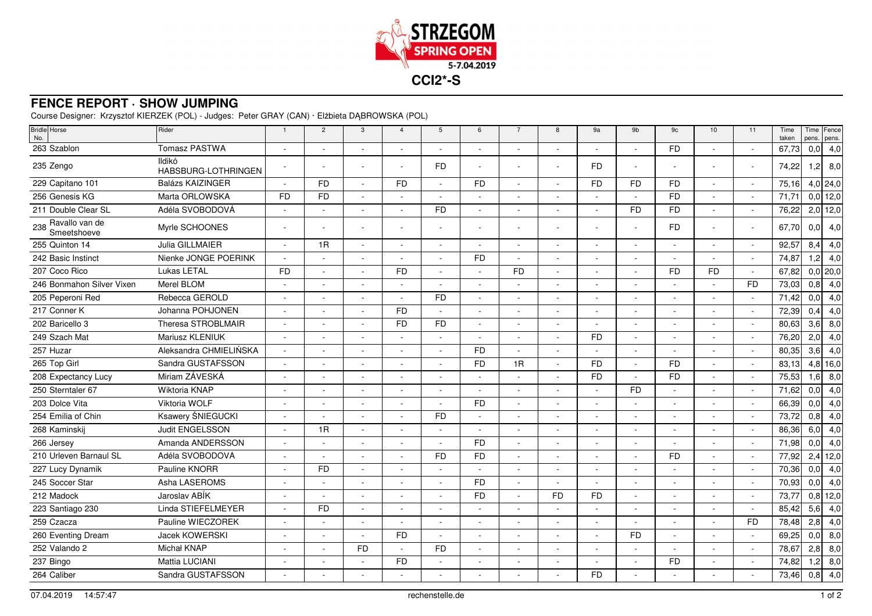

## **FENCE REPORT · SHOW JUMPING**

Course Designer: Krzysztof KIERZEK (POL) - Judges: Peter GRAY (CAN) · Elżbieta DĄBROWSKA (POL)

| Bridle Horse<br>No.               | Rider                         | $\overline{1}$           | $\overline{2}$ | 3                        | $\overline{4}$           | 5              | 6         | $\overline{7}$ | 8                        | 9a                       | 9b        | 9c        | 10             | 11                       | Time<br>taken | pens.            | Time Fence<br>pens. |
|-----------------------------------|-------------------------------|--------------------------|----------------|--------------------------|--------------------------|----------------|-----------|----------------|--------------------------|--------------------------|-----------|-----------|----------------|--------------------------|---------------|------------------|---------------------|
| 263 Szablon                       | Tomasz PASTWA                 |                          |                |                          |                          |                |           |                |                          | $\overline{\phantom{a}}$ |           | <b>FD</b> |                |                          | 67,73         | 0,0              | 4,0                 |
| 235 Zengo                         | Ildikó<br>HABSBURG-LOTHRINGEN |                          |                |                          |                          | <b>FD</b>      |           |                |                          | <b>FD</b>                |           |           |                |                          | 74,22         | 1,2              | 8,0                 |
| 229 Capitano 101                  | Balázs KAIZINGER              |                          | <b>FD</b>      |                          | <b>FD</b>                |                | <b>FD</b> |                |                          | <b>FD</b>                | <b>FD</b> | <b>FD</b> |                |                          | 75,16         |                  | $4,0$   24,0        |
| 256 Genesis KG                    | Marta ORLOWSKA                | <b>FD</b>                | <b>FD</b>      |                          |                          |                |           |                |                          | $\sim$                   |           | <b>FD</b> |                |                          | 71,71         |                  | $0,0$ 12,0          |
| 211 Double Clear SL               | Adéla SVOBODOVÁ               |                          |                | $\sim$                   | $\sim$                   | <b>FD</b>      |           |                | $\overline{\phantom{a}}$ | $\sim$                   | <b>FD</b> | <b>FD</b> |                | ÷,                       | 76,22         |                  | $2,0$ 12,0          |
| 238 Ravallo van de<br>Smeetshoeve | Myrle SCHOONES                |                          |                |                          |                          |                |           |                |                          | $\overline{\phantom{a}}$ |           | <b>FD</b> |                |                          | 67,70         | 0,0              | 4,0                 |
| 255 Quinton 14                    | Julia GILLMAIER               |                          | 1R             |                          |                          |                |           |                |                          |                          |           |           |                |                          | 92,57         | 8,4              | 4,0                 |
| 242 Basic Instinct                | Nienke JONGE POERINK          |                          |                |                          |                          | $\sim$         | <b>FD</b> |                | $\overline{\phantom{a}}$ | $\sim$                   |           |           |                |                          | 74,87         | 1,2              | 4,0                 |
| 207 Coco Rico                     | Lukas LETAL                   | <b>FD</b>                |                | $\sim$                   | <b>FD</b>                | ÷,             |           | <b>FD</b>      | $\overline{\phantom{a}}$ | $\sim$                   | $\sim$    | <b>FD</b> | F <sub>D</sub> | ÷.                       | 67,82         |                  | $0,0$  20,0         |
| 246 Bonmahon Silver Vixen         | Merel BLOM                    |                          |                |                          |                          |                |           |                |                          | ÷.                       |           |           |                | <b>FD</b>                | 73,03         | 0,8              | 4,0                 |
| 205 Peperoni Red                  | Rebecca GEROLD                |                          |                |                          |                          | <b>FD</b>      |           |                |                          |                          |           |           |                |                          | 71,42         | 0,0              | 4,0                 |
| 217 Conner K                      | Johanna POHJONEN              |                          |                | $\blacksquare$           | <b>FD</b>                | $\sim$         |           |                | $\overline{\phantom{a}}$ | $\overline{\phantom{a}}$ | $\sim$    |           |                | $\blacksquare$           | 72,39         | 0,4              | 4,0                 |
| 202 Baricello 3                   | Theresa STROBLMAIR            |                          |                |                          | <b>FD</b>                | <b>FD</b>      |           |                | ÷                        | $\sim$                   | ٠         |           |                |                          | 80,63         | 3,6              | 8,0                 |
| 249 Szach Mat                     | Mariusz KLENIUK               |                          |                |                          |                          |                |           |                |                          | <b>FD</b>                |           |           |                |                          | 76,20         | 2,0              | 4,0                 |
| 257 Huzar                         | Aleksandra CHMIELIŃSKA        |                          |                |                          |                          | ÷.             | <b>FD</b> |                | ÷.                       | $\sim$                   |           |           |                |                          | 80,35         | 3,6              | 4,0                 |
| 265 Top Girl                      | Sandra GUSTAFSSON             |                          |                | $\blacksquare$           | $\sim$                   | $\blacksquare$ | <b>FD</b> | 1R             | $\sim$                   | <b>FD</b>                | $\sim$    | <b>FD</b> |                | $\blacksquare$           | 83,13         |                  | $4,8$ 16,0          |
| 208 Expectancy Lucy               | Miriam ZÁVESKÁ                |                          |                |                          |                          |                |           |                |                          | <b>FD</b>                |           | <b>FD</b> |                |                          | 75,53         | 1,6              | 8,0                 |
| 250 Sterntaler 67                 | Wiktoria KNAP                 |                          |                |                          |                          |                |           |                |                          | $\sim$                   | <b>FD</b> |           |                |                          | 71,62         | 0,0              | 4,0                 |
| 203 Dolce Vita                    | Viktoria WOLF                 |                          |                |                          |                          | $\sim$         | <b>FD</b> |                |                          | $\overline{\phantom{a}}$ |           |           |                |                          | 66,39         | 0,0              | 4,0                 |
| 254 Emilia of Chin                | Ksawery ŚNIEGUCKI             |                          |                |                          |                          | <b>FD</b>      |           |                |                          | $\blacksquare$           |           |           |                |                          | 73,72         | 0,8              | 4,0                 |
| 268 Kaminskij                     | Judit ENGELSSON               |                          | 1R             |                          |                          |                |           |                |                          |                          |           |           |                |                          | 86,36         | 6,0              | 4,0                 |
| 266 Jersey                        | Amanda ANDERSSON              | $\overline{\phantom{a}}$ |                | $\sim$                   | $\overline{\phantom{a}}$ | $\sim$         | <b>FD</b> | $\sim$         | $\overline{\phantom{a}}$ | $\sim$                   | $\sim$    |           |                | $\sim$                   | 71,98         | 0,0              | 4,0                 |
| 210 Urleven Barnaul SL            | Adéla SVOBODOVÁ               |                          |                |                          |                          | <b>FD</b>      | <b>FD</b> |                |                          | $\sim$                   |           | <b>FD</b> |                |                          | 77,92         | 2,4              | 12,0                |
| 227 Lucy Dynamik                  | Pauline KNORR                 |                          | <b>FD</b>      |                          |                          |                |           |                |                          |                          |           |           |                |                          | 70,36         | 0,0              | 4,0                 |
| 245 Soccer Star                   | Asha LASEROMS                 |                          |                |                          |                          |                | FD.       |                |                          | $\sim$                   |           |           |                |                          | 70,93         | 0,0              | 4,0                 |
| 212 Madock                        | Jaroslav ABIK                 |                          |                | $\overline{\phantom{a}}$ |                          |                | <b>FD</b> |                | <b>FD</b>                | <b>FD</b>                |           |           |                | $\overline{\phantom{a}}$ | 73,77         |                  | $0,8$ 12,0          |
| 223 Santiago 230                  | Linda STIEFELMEYER            |                          | <b>FD</b>      |                          |                          |                |           |                |                          | $\sim$                   |           |           |                |                          | 85,42         | 5,6              | 4,0                 |
| 259 Czacza                        | Pauline WIECZOREK             |                          |                |                          |                          |                |           |                |                          | $\blacksquare$           |           |           |                | <b>FD</b>                | 78,48         | 2,8              | 4,0                 |
| 260 Eventing Dream                | Jacek KOWERSKI                | $\overline{\phantom{a}}$ | $\sim$         | $\sim$                   | <b>FD</b>                | $\sim$         | $\sim$    | $\sim$         | $\overline{\phantom{a}}$ | $\sim$                   | <b>FD</b> | ÷,        |                |                          | 69,25         | 0,0              | 8,0                 |
| 252 Valando 2                     | Michał KNAP                   |                          |                | FD.                      | $\sim$                   | <b>FD</b>      |           |                |                          | $\sim$                   |           |           |                |                          | 78,67         | 2,8              | 8,0                 |
| 237 Bingo                         | Mattia LUCIANI                |                          |                |                          | <b>FD</b>                |                |           |                |                          |                          |           | <b>FD</b> |                |                          | 74,82         | $\overline{1,2}$ | 8,0                 |
| 264 Caliber                       | Sandra GUSTAFSSON             |                          |                |                          |                          |                |           |                |                          | <b>FD</b>                |           |           |                |                          | 73,46         | 0,8              | 4,0                 |
|                                   |                               |                          |                |                          |                          |                |           |                |                          |                          |           |           |                |                          |               |                  |                     |